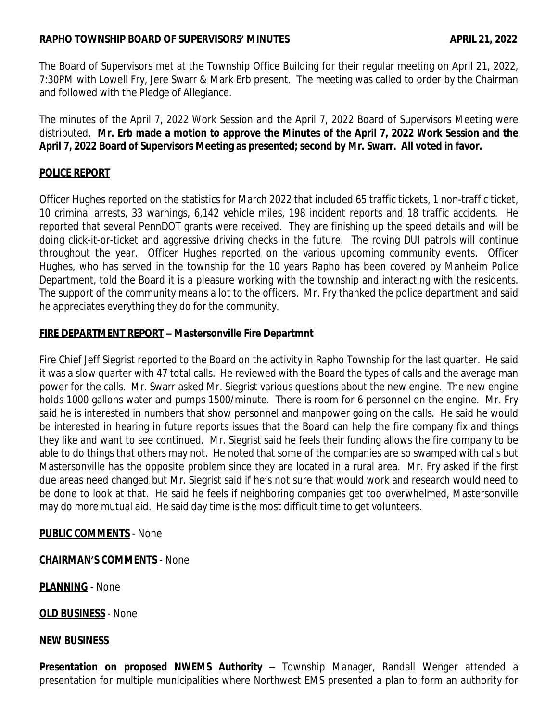# **RAPHO TOWNSHIP BOARD OF SUPERVISORS' MINUTES APRIL 21, 2022**

The Board of Supervisors met at the Township Office Building for their regular meeting on April 21, 2022, 7:30PM with Lowell Fry, Jere Swarr & Mark Erb present. The meeting was called to order by the Chairman and followed with the Pledge of Allegiance.

The minutes of the April 7, 2022 Work Session and the April 7, 2022 Board of Supervisors Meeting were distributed. Mr. Erb made a motion to approve the Minutes of the April 7, 2022 Work Session and the **April 7, 2022 Board of Supervisors Meeting as presented; second by Mr. Swarr. All voted in favor.**

# **POLICE REPORT**

Officer Hughes reported on the statistics for March 2022 that included 65 traffic tickets, 1 non-traffic ticket, 10 criminal arrests, 33 warnings, 6,142 vehicle miles, 198 incident reports and 18 traffic accidents. He reported that several PennDOT grants were received. They are finishing up the speed details and will be doing click-it-or-ticket and aggressive driving checks in the future. The roving DUI patrols will continue throughout the year. Officer Hughes reported on the various upcoming community events. Officer Hughes, who has served in the township for the 10 years Rapho has been covered by Manheim Police Department, told the Board it is a pleasure working with the township and interacting with the residents. The support of the community means a lot to the officers. Mr. Fry thanked the police department and said he appreciates everything they do for the community.

# **FIRE DEPARTMENT REPORT – Mastersonville Fire Departmnt**

Fire Chief Jeff Siegrist reported to the Board on the activity in Rapho Township for the last quarter. He said it was a slow quarter with 47 total calls. He reviewed with the Board the types of calls and the average man power for the calls. Mr. Swarr asked Mr. Siegrist various questions about the new engine. The new engine holds 1000 gallons water and pumps 1500/minute. There is room for 6 personnel on the engine. Mr. Fry said he is interested in numbers that show personnel and manpower going on the calls. He said he would be interested in hearing in future reports issues that the Board can help the fire company fix and things they like and want to see continued. Mr. Siegrist said he feels their funding allows the fire company to be able to do things that others may not. He noted that some of the companies are so swamped with calls but Mastersonville has the opposite problem since they are located in a rural area. Mr. Fry asked if the first due areas need changed but Mr. Siegrist said if he's not sure that would work and research would need to be done to look at that. He said he feels if neighboring companies get too overwhelmed, Mastersonville may do more mutual aid. He said day time is the most difficult time to get volunteers.

# **PUBLIC COMMENTS** - None

### **CHAIRMAN'S COMMENTS** - None

**PLANNING** - None

**OLD BUSINESS** - None

### **NEW BUSINESS**

**Presentation on proposed NWEMS Authority** – Township Manager, Randall Wenger attended a presentation for multiple municipalities where Northwest EMS presented a plan to form an authority for